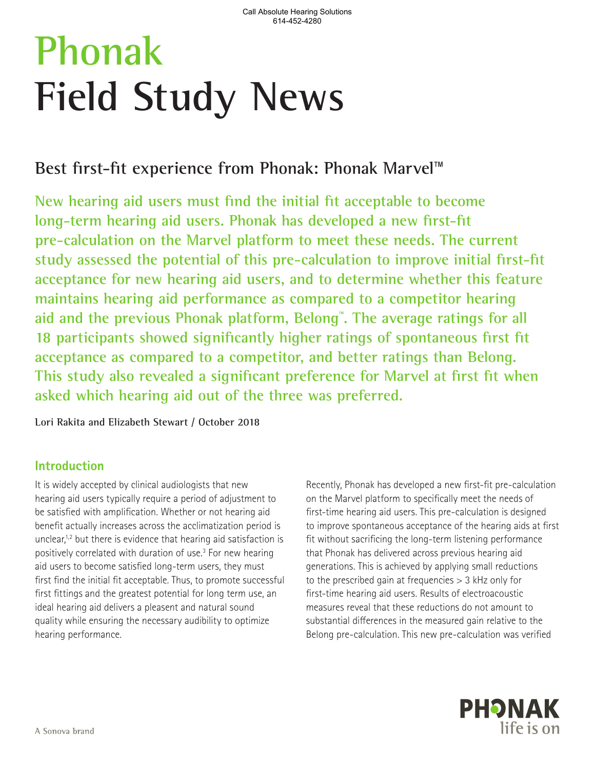# **Phonak Field Study News**

## **Best first-fit experience from Phonak: Phonak Marvel**™

**New hearing aid users must find the initial fit acceptable to become long-term hearing aid users. Phonak has developed a new first-fit pre-calculation on the Marvel platform to meet these needs. The current study assessed the potential of this pre-calculation to improve initial first-fit acceptance for new hearing aid users, and to determine whether this feature maintains hearing aid performance as compared to a competitor hearing aid and the previous Phonak platform, Belong**™ **. The average ratings for all 18 participants showed significantly higher ratings of spontaneous first fit acceptance as compared to a competitor, and better ratings than Belong. This study also revealed a significant preference for Marvel at first fit when asked which hearing aid out of the three was preferred.**

**Lori Rakita and Elizabeth Stewart / October 2018**

## **Introduction**

It is widely accepted by clinical audiologists that new hearing aid users typically require a period of adjustment to be satisfied with amplification. Whether or not hearing aid benefit actually increases across the acclimatization period is unclear,<sup>1,2</sup> but there is evidence that hearing aid satisfaction is positively correlated with duration of use.<sup>3</sup> For new hearing aid users to become satisfied long-term users, they must first find the initial fit acceptable. Thus, to promote successful first fittings and the greatest potential for long term use, an ideal hearing aid delivers a pleasent and natural sound quality while ensuring the necessary audibility to optimize hearing performance.

Recently, Phonak has developed a new first-fit pre-calculation on the Marvel platform to specifically meet the needs of first-time hearing aid users. This pre-calculation is designed to improve spontaneous acceptance of the hearing aids at first fit without sacrificing the long-term listening performance that Phonak has delivered across previous hearing aid generations. This is achieved by applying small reductions to the prescribed gain at frequencies > 3 kHz only for first-time hearing aid users. Results of electroacoustic measures reveal that these reductions do not amount to substantial differences in the measured gain relative to the Belong pre-calculation. This new pre-calculation was verified

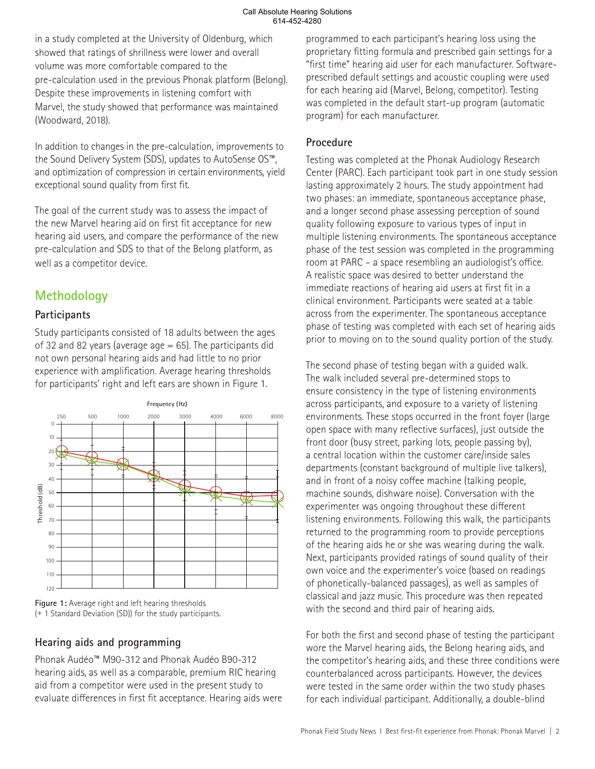in a study completed at the University of Oldenburg, which showed that ratings of shrillness were lower and overall volume was more comfortable compared to the pre-calculation used in the previous Phonak platform (Belong). Despite these improvements in listening comfort with Marvel, the study showed that performance was maintained (Woodward, 2018).

In addition to changes in the pre-calculation, improvements to the Sound Delivery System (SDS), updates to AutoSense OS™, and optimization of compression in certain environments, yield exceptional sound quality from first fit.

The goal of the current study was to assess the impact of the new Marvel hearing aid on first fit acceptance for new hearing aid users, and compare the performance of the new pre-calculation and SDS to that of the Belong platform, as well as a competitor device.

## **Methodology**

#### **Participants**

Study participants consisted of 18 adults between the ages of 32 and 82 years (average age  $= 65$ ). The participants did not own personal hearing aids and had little to no prior experience with amplification. Average hearing thresholds for participants' right and left ears are shown in Figure 1.



**Figure 1:** Average right and left hearing thresholds (+ 1 Standard Deviation (SD)) for the study participants.

### **Hearing aids and programming**

Phonak Audéo™ M90-312 and Phonak Audéo B90-312 hearing aids, as well as a comparable, premium RIC hearing aid from a competitor were used in the present study to evaluate differences in first fit acceptance. Hearing aids were programmed to each participant's hearing loss using the proprietary fitting formula and prescribed gain settings for a "first time" hearing aid user for each manufacturer. Softwareprescribed default settings and acoustic coupling were used for each hearing aid (Marvel, Belong, competitor). Testing was completed in the default start-up program (automatic program) for each manufacturer.

#### **Procedure**

Testing was completed at the Phonak Audiology Research Center (PARC). Each participant took part in one study session lasting approximately 2 hours. The study appointment had two phases: an immediate, spontaneous acceptance phase, and a longer second phase assessing perception of sound quality following exposure to various types of input in multiple listening environments. The spontaneous acceptance phase of the test session was completed in the programming room at PARC – a space resembling an audiologist's office. A realistic space was desired to better understand the immediate reactions of hearing aid users at first fit in a clinical environment. Participants were seated at a table across from the experimenter. The spontaneous acceptance phase of testing was completed with each set of hearing aids prior to moving on to the sound quality portion of the study.

The second phase of testing began with a guided walk. The walk included several pre-determined stops to ensure consistency in the type of listening environments across participants, and exposure to a variety of listening environments. These stops occurred in the front foyer (large open space with many reflective surfaces), just outside the front door (busy street, parking lots, people passing by), a central location within the customer care/inside sales departments (constant background of multiple live talkers), and in front of a noisy coffee machine (talking people, machine sounds, dishware noise). Conversation with the experimenter was ongoing throughout these different listening environments. Following this walk, the participants returned to the programming room to provide perceptions of the hearing aids he or she was wearing during the walk. Next, participants provided ratings of sound quality of their own voice and the experimenter's voice (based on readings of phonetically-balanced passages), as well as samples of classical and jazz music. This procedure was then repeated with the second and third pair of hearing aids.

For both the first and second phase of testing the participant wore the Marvel hearing aids, the Belong hearing aids, and the competitor's hearing aids, and these three conditions were counterbalanced across participants. However, the devices were tested in the same order within the two study phases for each individual participant. Additionally, a double-blind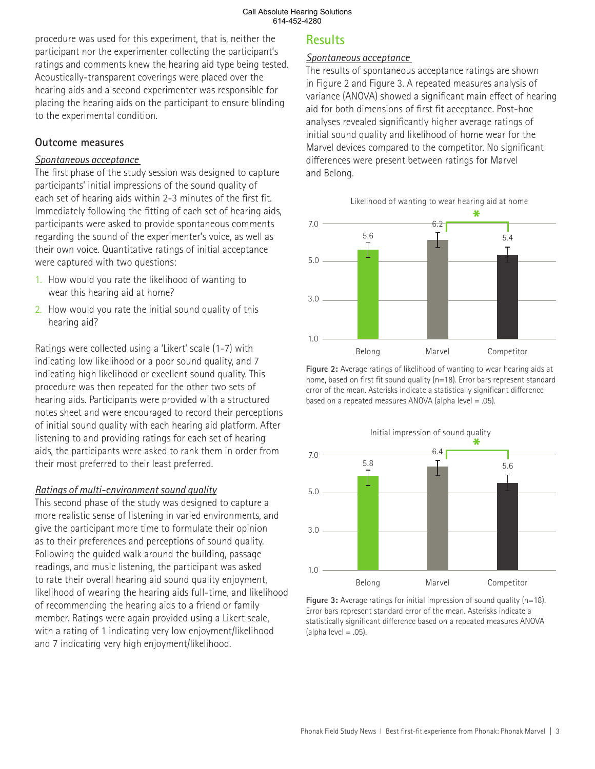procedure was used for this experiment, that is, neither the participant nor the experimenter collecting the participant's ratings and comments knew the hearing aid type being tested. Acoustically-transparent coverings were placed over the hearing aids and a second experimenter was responsible for placing the hearing aids on the participant to ensure blinding to the experimental condition.

#### **Outcome measures**

#### *Spontaneous acceptance*

The first phase of the study session was designed to capture participants' initial impressions of the sound quality of each set of hearing aids within 2-3 minutes of the first fit. Immediately following the fitting of each set of hearing aids, participants were asked to provide spontaneous comments regarding the sound of the experimenter's voice, as well as their own voice. Quantitative ratings of initial acceptance were captured with two questions:

- 1. How would you rate the likelihood of wanting to wear this hearing aid at home?
- 2. How would you rate the initial sound quality of this hearing aid?

Ratings were collected using a 'Likert' scale (1-7) with indicating low likelihood or a poor sound quality, and 7 indicating high likelihood or excellent sound quality. This procedure was then repeated for the other two sets of hearing aids. Participants were provided with a structured notes sheet and were encouraged to record their perceptions of initial sound quality with each hearing aid platform. After listening to and providing ratings for each set of hearing aids, the participants were asked to rank them in order from their most preferred to their least preferred.

#### *Ratings of multi-environment sound quality*

This second phase of the study was designed to capture a more realistic sense of listening in varied environments, and give the participant more time to formulate their opinion as to their preferences and perceptions of sound quality. Following the guided walk around the building, passage readings, and music listening, the participant was asked to rate their overall hearing aid sound quality enjoyment, likelihood of wearing the hearing aids full-time, and likelihood of recommending the hearing aids to a friend or family member. Ratings were again provided using a Likert scale, with a rating of 1 indicating very low enjoyment/likelihood and 7 indicating very high enjoyment/likelihood.

### **Results**

#### *Spontaneous acceptance*

The results of spontaneous acceptance ratings are shown in Figure 2 and Figure 3. A repeated measures analysis of variance (ANOVA) showed a significant main effect of hearing aid for both dimensions of first fit acceptance. Post-hoc analyses revealed significantly higher average ratings of initial sound quality and likelihood of home wear for the Marvel devices compared to the competitor. No significant differences were present between ratings for Marvel and Belong.



**Figure 2:** Average ratings of likelihood of wanting to wear hearing aids at home, based on first fit sound quality (n=18). Error bars represent standard error of the mean. Asterisks indicate a statistically significant difference based on a repeated measures ANOVA (alpha level = .05).



**Figure 3:** Average ratings for initial impression of sound quality (n=18). Error bars represent standard error of the mean. Asterisks indicate a statistically significant difference based on a repeated measures ANOVA (alpha level  $= .05$ ).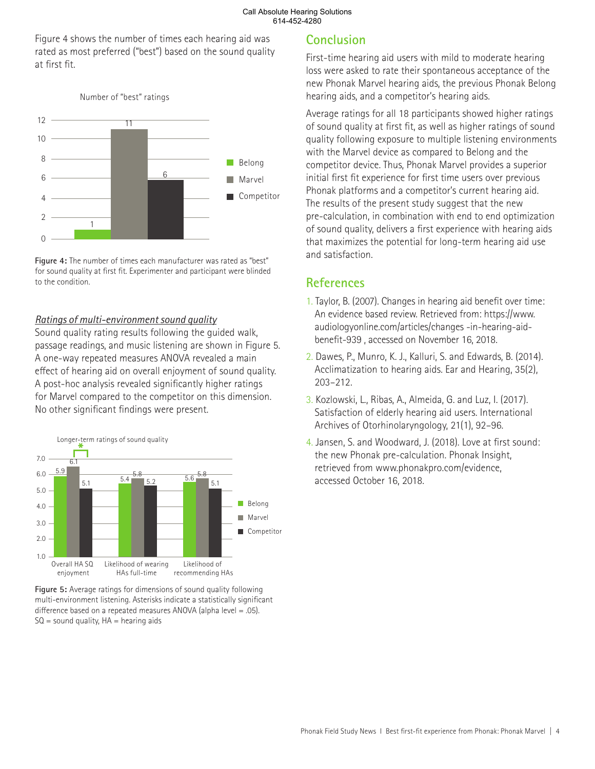#### Call Absolute Hearing Solutions 614-452-4280

Figure 4 shows the number of times each hearing aid was rated as most preferred ("best") based on the sound quality at first fit.



**Figure 4:** The number of times each manufacturer was rated as "best" for sound quality at first fit. Experimenter and participant were blinded to the condition.

#### *Ratings of multi-environment sound quality*

Sound quality rating results following the guided walk, passage readings, and music listening are shown in Figure 5. A one-way repeated measures ANOVA revealed a main effect of hearing aid on overall enjoyment of sound quality. A post-hoc analysis revealed significantly higher ratings for Marvel compared to the competitor on this dimension. No other significant findings were present.



**Figure 5:** Average ratings for dimensions of sound quality following multi-environment listening. Asterisks indicate a statistically significant difference based on a repeated measures ANOVA (alpha level = .05).  $SO =$  sound quality,  $HA =$  hearing aids

## **Conclusion**

First-time hearing aid users with mild to moderate hearing loss were asked to rate their spontaneous acceptance of the new Phonak Marvel hearing aids, the previous Phonak Belong hearing aids, and a competitor's hearing aids.

Average ratings for all 18 participants showed higher ratings of sound quality at first fit, as well as higher ratings of sound quality following exposure to multiple listening environments with the Marvel device as compared to Belong and the competitor device. Thus, Phonak Marvel provides a superior initial first fit experience for first time users over previous Phonak platforms and a competitor's current hearing aid. The results of the present study suggest that the new pre-calculation, in combination with end to end optimization of sound quality, delivers a first experience with hearing aids that maximizes the potential for long-term hearing aid use and satisfaction.

## **References**

- 1. Taylor, B. (2007). Changes in hearing aid benefit over time: An evidence based review. Retrieved from: https://www. audiologyonline.com/articles/changes -in-hearing-aidbenefit-939 , accessed on November 16, 2018.
- 2. Dawes, P., Munro, K. J., Kalluri, S. and Edwards, B. (2014). Acclimatization to hearing aids. Ear and Hearing, 35(2), 203–212.
- 3. Kozlowski, L., Ribas, A., Almeida, G. and Luz, I. (2017). Satisfaction of elderly hearing aid users. International Archives of Otorhinolaryngology, 21(1), 92–96.
- 4. Jansen, S. and Woodward, J. (2018). Love at first sound: the new Phonak pre-calculation. Phonak Insight, retrieved from www.phonakpro.com/evidence, accessed October 16, 2018.